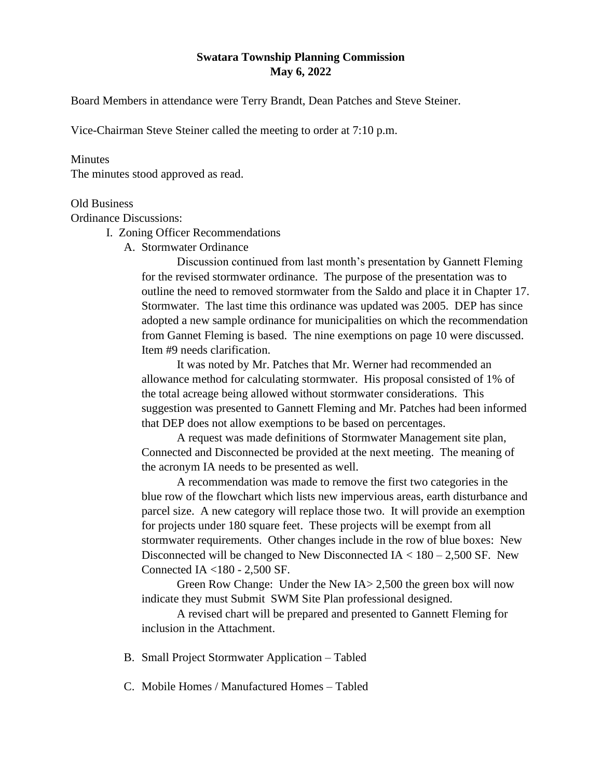## **Swatara Township Planning Commission May 6, 2022**

Board Members in attendance were Terry Brandt, Dean Patches and Steve Steiner.

Vice-Chairman Steve Steiner called the meeting to order at 7:10 p.m.

## **Minutes**

The minutes stood approved as read.

## Old Business

Ordinance Discussions:

- I. Zoning Officer Recommendations
	- A. Stormwater Ordinance

Discussion continued from last month's presentation by Gannett Fleming for the revised stormwater ordinance. The purpose of the presentation was to outline the need to removed stormwater from the Saldo and place it in Chapter 17. Stormwater. The last time this ordinance was updated was 2005. DEP has since adopted a new sample ordinance for municipalities on which the recommendation from Gannet Fleming is based. The nine exemptions on page 10 were discussed. Item #9 needs clarification.

It was noted by Mr. Patches that Mr. Werner had recommended an allowance method for calculating stormwater. His proposal consisted of 1% of the total acreage being allowed without stormwater considerations. This suggestion was presented to Gannett Fleming and Mr. Patches had been informed that DEP does not allow exemptions to be based on percentages.

A request was made definitions of Stormwater Management site plan, Connected and Disconnected be provided at the next meeting. The meaning of the acronym IA needs to be presented as well.

A recommendation was made to remove the first two categories in the blue row of the flowchart which lists new impervious areas, earth disturbance and parcel size. A new category will replace those two. It will provide an exemption for projects under 180 square feet. These projects will be exempt from all stormwater requirements. Other changes include in the row of blue boxes: New Disconnected will be changed to New Disconnected  $IA < 180 - 2,500$  SF. New Connected IA <180 - 2,500 SF.

Green Row Change: Under the New IA> 2,500 the green box will now indicate they must Submit SWM Site Plan professional designed.

A revised chart will be prepared and presented to Gannett Fleming for inclusion in the Attachment.

- B. Small Project Stormwater Application Tabled
- C. Mobile Homes / Manufactured Homes Tabled